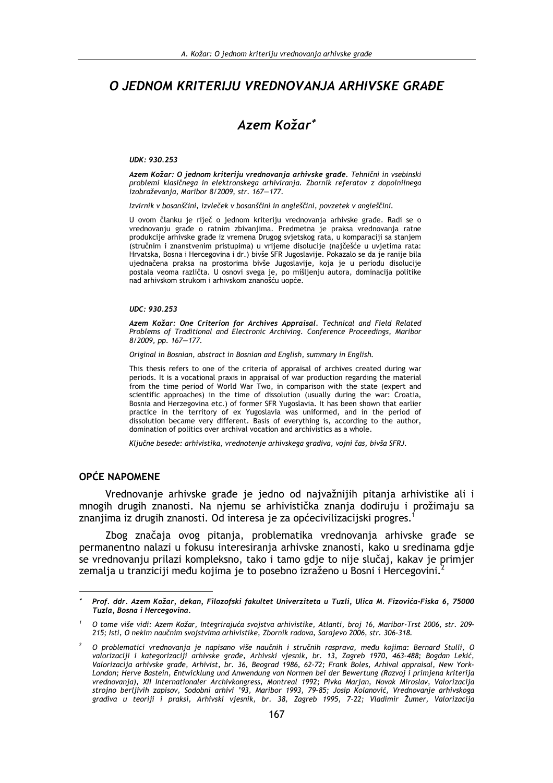# O JEDNOM KRITERIJU VREDNOVANJA ARHIVSKE GRAĐE

# Azem Kožar\*

UDK: 930.253

Azem Kožar: O jednom kriteriju vrednovanja arhivske građe. Tehnični in vsebinski problemi klasičnega in elektronskega arhiviranja. Zbornik referatov z dopolnilnega izobraževanja, Maribor 8/2009, str. 167-177.

Izvirnik v bosanščini, izvleček v bosanščini in angleščini, povzetek v angleščini.

U ovom članku je riječ o jednom kriteriju vrednovanja arhivske građe. Radi se o vrednovanju građe o ratnim zbivanjima. Predmetna je praksa vrednovanja ratne produkcije arhivske građe iz vremena Drugog svjetskog rata, u komparaciji sa stanjem (stručnim i znanstvenim pristupima) u vrijeme disolucije (najčešće u uvjetima rata: Hrvatska, Bosna i Hercegovina i dr.) bivše SFR Jugoslavije. Pokazalo se da je ranije bila ujednačena praksa na prostorima bivše Jugoslavije, koja je u periodu disolucije postala veoma različta. U osnovi svega je, po mišljenju autora, dominacija politike nad arhivskom strukom i arhivskom znanošću uopće.

#### UDC: 930.253

Azem Kožar: One Criterion for Archives Appraisal, Technical and Field Related Problems of Traditional and Electronic Archiving. Conference Proceedings, Maribor 8/2009, pp. 167-177.

Original in Bosnian, abstract in Bosnian and English, summary in English.

This thesis refers to one of the criteria of appraisal of archives created during war periods. It is a vocational praxis in appraisal of war production regarding the material from the time period of World War Two, in comparison with the state (expert and scientific approaches) in the time of dissolution (usually during the war: Croatia, Bosnia and Herzegovina etc.) of former SFR Yugoslavia. It has been shown that earlier practice in the territory of ex Yugoslavia was uniformed, and in the period of dissolution became very different. Basis of everything is, according to the author, domination of politics over archival vocation and archivistics as a whole.

Ključne besede: arhivistika, vrednotenje arhivskega gradiva, vojni čas, bivša SFRJ.

# **OPĆE NAPOMENE**

Vrednovanje arhivske građe je jedno od najvažnijih pitanja arhivistike ali i mnogih drugih znanosti. Na njemu se arhivistička znanja dodiruju i prožimaju sa znanjima iz drugih znanosti. Od interesa je za općecivilizacijski progres.

Zbog značaja ovog pitanja, problematika vrednovanja arhivske građe se permanentno nalazi u fokusu interesiranja arhivske znanosti, kako u sredinama gdje se vrednovanju prilazi kompleksno, tako i tamo gdje to nije slučaj, kakav je primjer zemalja u tranziciji među kojima je to posebno izraženo u Bosni i Hercegovini.<sup>2</sup>

Prof. ddr. Azem Kožar, dekan, Filozofski fakultet Univerziteta u Tuzli, Ulica M. Fizovića-Fiska 6, 75000 Tuzla, Bosna i Hercegovina.

O tome više vidi: Azem Kožar, Integrirajuća svojstva arhivistike, Atlanti, broj 16. Maribor-Trst 2006, str. 209-215; Isti, O nekim naučnim svojstvima arhivistike, Zbornik radova, Sarajevo 2006, str. 306-318.

O problematici vrednovanja je napisano više naučnih i stručnih rasprava, među kojima: Bernard Stulli, O valorizaciji i kategorizaciji arhivske građe, Arhivski vjesnik, br. 13, Zagreb 1970, 463-488; Bogdan Lekić, Valorizacija arhivske građe, Arhivist, br. 36, Beograd 1986, 62-72; Frank Boles, Arhival appraisal, New York-London; Herve Bastein, Entwicklung und Anwendung von Normen bei der Bewertung (Razvoj i primjena kriterija vrednovanja), XII Internationaler Archivkongress, Montreal 1992; Pivka Marjan, Novak Miroslav, Valorizacija strojno berljivih zapisov, Sodobni arhivi '93, Maribor 1993, 79-85; Josip Kolanović, Vrednovanje arhivskoga gradiva u teoriji i praksi, Arhivski vjesnik, br. 38, Zagreb 1995, 7-22; Vladimir Žumer, Valorizacija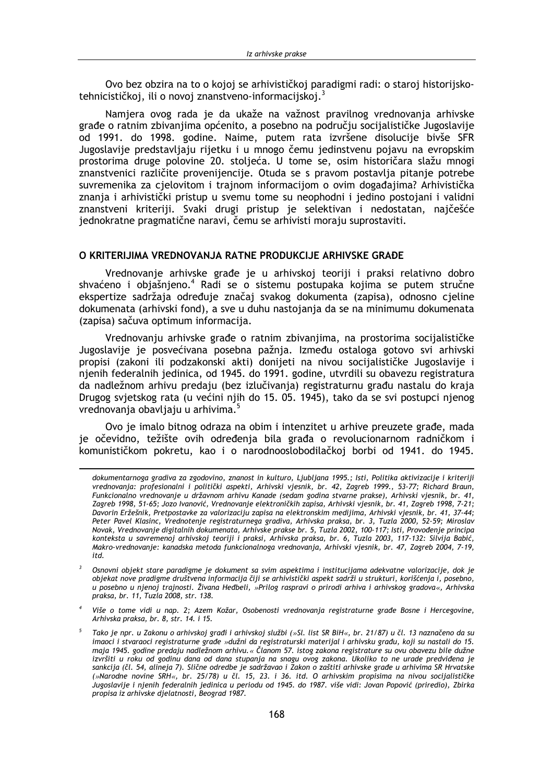Ovo bez obzira na to o kojoj se arhivističkoj paradigmi radi: o staroj historijskotehnicističkoj, ili o novoj znanstveno-informacijskoj.<sup>3</sup>

Namjera ovog rada je da ukaže na važnost pravilnog vrednovanja arhivske građe o ratnim zbivanjima općenito, a posebno na području socijalističke Jugoslavije od 1991. do 1998. godine. Naime, putem rata izvršene disolucije bivše SFR Jugoslavije predstavljaju rijetku i u mnogo čemu jedinstvenu pojavu na evropskim prostorima druge polovine 20. stoljeća. U tome se, osim historičara slažu mnogi znanstvenici različite provenijencije. Otuda se s pravom postavlja pitanje potrebe suvremenika za cjelovitom i trajnom informacijom o ovim događajima? Arhivistička znanja i arhivistički pristup u svemu tome su neophodni i jedino postojani i validni znanstveni kriteriji. Svaki drugi pristup je selektivan i nedostatan, najčešće jednokratne pragmatične naravi, čemu se arhivisti moraju suprostaviti.

### O KRITERIJIMA VREDNOVANJA RATNE PRODUKCIJE ARHIVSKE GRAĐE

Vrednovanje arhivske građe je u arhivskoj teoriji i praksi relativno dobro shvaćeno i objašnjeno.<sup>4</sup> Radi se o sistemu postupaka kojima se putem stručne ekspertize sadržaja određuje značaj svakog dokumenta (zapisa), odnosno cjeline dokumenata (arhivski fond), a sve u duhu nastojanja da se na minimumu dokumenata (zapisa) sačuva optimum informacija.

Vrednovanju arhivske građe o ratnim zbivanjima, na prostorima socijalističke Jugoslavije je posvećivana posebna pažnja. Između ostaloga gotovo svi arhivski propisi (zakoni ili podzakonski akti) donijeti na nivou socijalističke Jugoslavije i njenih federalnih jedinica, od 1945. do 1991. godine, utvrdili su obavezu registratura da nadležnom arhivu predaju (bez izlučivanja) registraturnu građu nastalu do kraja Drugog svjetskog rata (u većini njih do 15. 05. 1945), tako da se svi postupci njenog vrednovanja obavljaju u arhivima.<sup>5</sup>

Ovo je imalo bitnog odraza na obim i intenzitet u arhive preuzete građe, mada je očevidno, težište ovih određenia bila građa o revolucionarnom radničkom i komunističkom pokretu, kao i o narodnooslobodilačkoj borbi od 1941. do 1945.

dokumentarnoga gradiva za zgodovino, znanost in kulturo, Liubliana 1995.; Isti, Politika aktivizacije i kriteriji vrednovanja: profesionalni i politički aspekti, Arhivski vjesnik, br. 42, Zagreb 1999., 53-77; Richard Braun, Funkcionalno vrednovanje u državnom arhivu Kanade (sedam godina stvarne prakse), Arhivski vjesnik, br. 41, Zagreb 1998, 51-65; Jozo Ivanović, Vrednovanje elektroničkih zapisa, Arhivski vjesnik, br. 41, Zagreb 1998, 7-21; Davorin Eržešnik, Pretpostavke za valorizaciju zapisa na elektronskim medijima, Arhivski vjesnik, br. 41, 37-44; Peter Pavel Klasinc, Vrednotenje registraturnega gradiva, Arhivska praksa, br. 3, Tuzla 2000, 52-59; Miroslav Novak, Vrednovanje digitalnih dokumenata, Arhivske prakse br. 5, Tuzla 2002, 100-117; Isti, Provođenje principa konteksta u savremenoj arhivskoj teoriji i praksi, Arhivska praksa, br. 6, Tuzla 2003, 117-132: Silvija Babić, Makro-vrednovanje: kanadska metoda funkcionalnoga vrednovanja, Arhivski vjesnik, br. 47, Zagreb 2004, 7-19, itd.

 $\overline{3}$ Osnovni objekt stare paradigme je dokument sa svim aspektima i institucijama adekvatne valorizacije, dok je objekat nove pradigme društvena informacija čiji se arhivistički aspekt sadrži u strukturi, korišćenja i, posebno, u posebno u njenoj trajnosti. Živana Hedbeli, »Prilog raspravi o prirodi arhiva i arhivskog gradova«, Arhivska praksa, br. 11, Tuzla 2008, str. 138.

Više o tome vidi u nap. 2; Azem Kožar, Osobenosti vrednovanja registraturne građe Bosne i Hercegovine, Arhivska praksa, br. 8, str. 14, i 15,

Tako je npr. u Zakonu o arhivskoj građi i arhivskoj službi (»Sl. list SR BiH«, br. 21/87) u čl. 13 naznačeno da su imaoci i stvaraoci registraturne građe »dužni da registraturski materijal i arhivsku građu, koji su nastali do 15. maja 1945. godine predaju nadležnom arhivu.« Članom 57. istog zakona registrature su ovu obavezu bile dužne izvršiti u roku od godinu dana od dana stupanja na snagu ovog zakona. Ukoliko to ne urade predviđena je sankcija (čl. 54, alineja 7). Slične odredbe je sadržavao i Zakon o zaštiti arhivske građe u arhivima SR Hrvatske (»Narodne novine SRH«, br. 25/78) u čl. 15, 23. i 36. itd. O arhivskim propisima na nivou socijalističke Jugoslavije i njenih federalnih jedinica u periodu od 1945. do 1987. više vidi: Jovan Popović (priredio), Zbirka propisa iz arhivske djelatnosti, Beograd 1987.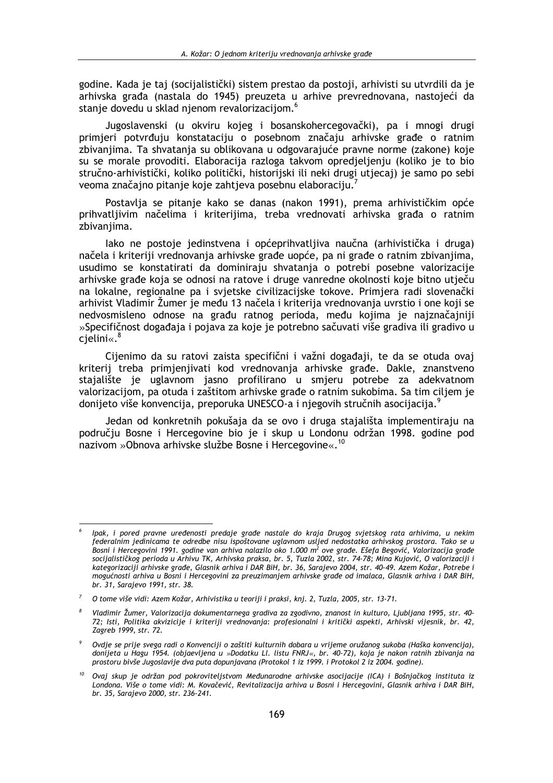godine. Kada je taj (socijalistički) sistem prestao da postoji, arhivisti su utvrdili da je arhivska građa (nastala do 1945) preuzeta u arhive prevrednovana, nastojeći da stanje dovedu u sklad njenom revalorizacijom.<sup>6</sup>

Jugoslavenski (u okviru kojeg i bosanskohercegovački), pa i mnogi drugi primjeri potvrđuju konstataciju o posebnom značaju arhivske građe o ratnim zbivanjima. Ta shvatanja su oblikovana u odgovarajuće pravne norme (zakone) koje su se morale provoditi. Elaboracija razloga takvom opredjeljenju (koliko je to bio stručno-arhivistički, koliko politički, historijski ili neki drugi utjecaj) je samo po sebi veoma značajno pitanje koje zahtjeva posebnu elaboraciju.

Postavlja se pitanje kako se danas (nakon 1991), prema arhivističkim opće prihvatljivim načelima i kriterijima, treba vrednovati arhivska građa o ratnim zbivanjima.

lako ne postoje jedinstvena i općeprihvatljiva naučna (arhivistička i druga) načela i kriteriji vrednovanja arhivske građe uopće, pa ni građe o ratnim zbivanjima, usudimo se konstatirati da dominiraju shvatanja o potrebi posebne valorizacije arhivske građe koja se odnosi na ratove i druge vanredne okolnosti koje bitno utječu na lokalne, regionalne pa i svjetske civilizacijske tokove. Primjera radi slovenački arhivist Vladimir Žumer je među 13 načela i kriterija vrednovanja uvrstio i one koji se nedvosmisleno odnose na građu ratnog perioda, među kojima je najznačajniji »Specifičnost događaja i pojava za koje je potrebno sačuvati više gradiva ili gradivo u  $c$ ielini«. $8$ 

Cijenimo da su ratovi zaista specifični i važni događaji, te da se otuda ovaj kriterij treba primjenjivati kod vrednovanja arhivske građe. Dakle, znanstveno stajalište je uglavnom jasno profilirano u smjeru potrebe za adekvatnom valorizacijom, pa otuda i zaštitom arhivske građe o ratnim sukobima. Sa tim ciljem je donijeto više konvencija, preporuka UNESCO-a i njegovih stručnih asocijacija.<sup>9</sup>

Jedan od konkretnih pokušaja da se ovo i druga stajališta implementiraju na područiu Bosne i Hercegovine bio je i skup u Londonu održan 1998. godine pod nazivom »Obnova arhivske službe Bosne i Hercegovine«.<sup>10</sup>

Ipak, i pored pravne uređenosti predaje građe nastale do kraja Drugog svjetskog rata arhivima, u nekim federalnim jedinicama te odredbe nisu ispoštovane uglavnom usljed nedostatka arhivskog prostora. Tako se u Bosni i Hercegovini 1991. godine van arhiva nalazilo oko 1.000 m<sup>2</sup> ove građe. Ešefa Begović, Valorizacija građe sosini i ricretyomin 1771. godine van annua natazito otto 11000 in ove gradet zbeja begovie, vatorizacija grad<br>socijalističkog perioda u Arhivu TK, Arhivska praksa, br. 5, Tuzla 2002, str. 74-78; Mina Kujović, O valorizaci mogućnosti arhiva u Bosni i Hercegovini za preuzimanjem arhivske građe od imalaca, Glasnik arhiva i DAR BiH, br. 31, Sarajevo 1991, str. 38.

O tome više vidi: Azem Kožar, Arhivistika u teoriji i praksi, knj. 2, Tuzla, 2005, str. 13-71.

Vladimir Žumer, Valorizacija dokumentarnega gradiva za zgodivno, znanost in kulturo, Ljubljana 1995, str. 40-72; Isti, Politika akvizicije i kriteriji vrednovanja: profesionalni i kritički aspekti, Arhivski vijesnik, br. 42, Zagreb 1999, str. 72.

Ovdje se prije svega radi o Konvenciji o zaštiti kulturnih dobara u vrijeme oružanog sukoba (Haška konvencija), donijeta u Hagu 1954. (objaevljena u »Dodatku Ll. listu FNRJ«, br. 40-72), koja je nakon ratnih zbivanja na<br>prostoru bivše Jugoslavije dva puta dopunjavana (Protokol 1 iz 1999. i Protokol 2 iz 2004. godine).

Ovaj skup je održan pod pokroviteljstvom Međunarodne arhivske asocijacije (ICA) i Bošnjačkog instituta iz Londona. Više o tome vidi: M. Kovačević, Revitalizacija arhiva u Bosni i Hercegovini, Glasnik arhiva i DAR BiH, br. 35, Sarajevo 2000, str. 236-241.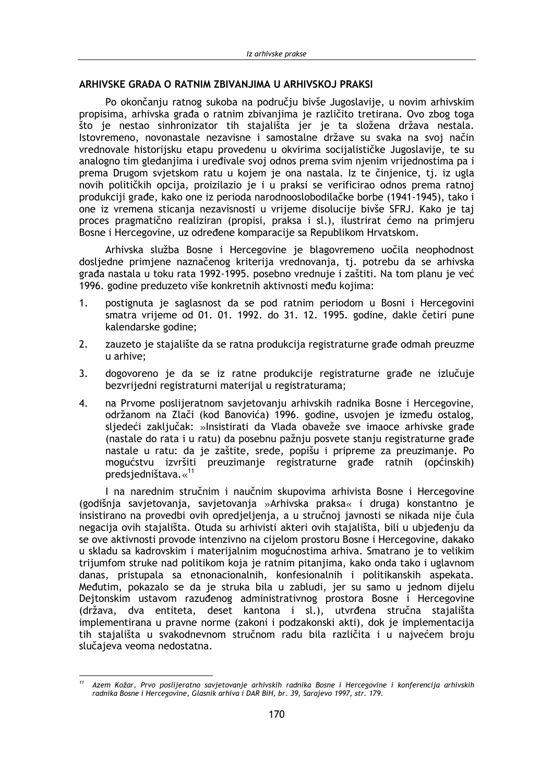# ARHIVSKE GRAĐA O RATNIM ZBIVANJIMA U ARHIVSKOJ PRAKSI

Po okončaniu ratnog sukoba na područiu bivše Jugoslavije, u novim arhivskim propisima, arhivska građa o ratnim zbivanjima je različito tretirana. Ovo zbog toga što je nestao sinhronizator tih stajališta jer je ta složena država nestala. Istovremeno, novonastale nezavisne i samostalne države su svaka na svoj način vrednovale historijsku etapu provedenu u okvirima socijalističke Jugoslavije, te su analogno tim gledanjima i uređivale svoj odnos prema svim njenim vrijednostima pa i prema Drugom svjetskom ratu u kojem je ona nastala. Iz te činjenice, tj. iz ugla novih političkih opcija, proizilazio je i u praksi se verificirao odnos prema ratnoj produkciji građe, kako one iz perioda narodnooslobodilačke borbe (1941-1945), tako i one iz vremena sticanja nezavisnosti u vrijeme disolucije bivše SFRJ. Kako je taj proces pragmatično realiziran (propisi, praksa i sl.), ilustrirat ćemo na primjeru Bosne i Hercegovine, uz određene komparacije sa Republikom Hrvatskom.

Arhivska služba Bosne i Hercegovine je blagovremeno uočila neophodnost dosljedne primjene naznačenog kriterija vrednovanja, tj. potrebu da se arhivska građa nastala u toku rata 1992-1995. posebno vrednuje i zaštiti. Na tom planu je već 1996. godine preduzeto više konkretnih aktivnosti među kojima:

- $1<sub>1</sub>$ postignuta je saglasnost da se pod ratnim periodom u Bosni i Hercegovini smatra vrijeme od 01. 01. 1992. do 31. 12. 1995. godine, dakle četiri pune kalendarske godine;
- $2.$ zauzeto je stajalište da se ratna produkcija registraturne građe odmah preuzme u arhive:
- $\overline{3}$ . dogovoreno je da se iz ratne produkcije registraturne građe ne izlučuje bezvrijedni registraturni materijal u registraturama;
- $4.$ na Prvome poslijeratnom savjetovanju arhivskih radnika Bosne i Hercegovine, održanom na Zlači (kod Banovića) 1996. godine, usvojen je između ostalog, sljedeći zaključak: »Insistirati da Vlada obaveže sve imaoce arhivske građe (nastale do rata i u ratu) da posebnu pažniu posvete stanju registraturne građe nastale u ratu: da je zaštite, srede, popišu i pripreme za preuzimanje. Po mogućstvu izvršiti preuzimanje registraturne građe ratnih (općinskih) predsjedništava.«11

I na narednim stručnim i naučnim skupovima arhivista Bosne i Hercegovine (godišnja savjetovanja, savjetovanja »Arhivska praksa« i druga) konstantno je insistirano na provedbi ovih opredjeljenja, a u stručnoj javnosti se nikada nije čula negacija ovih stajališta. Otuda su arhivisti akteri ovih stajališta, bili u ubjeđenju da se ove aktivnosti provode intenzivno na cijelom prostoru Bosne i Hercegovine, dakako u skladu sa kadrovskim i materijalnim mogućnostima arhiva. Smatrano je to velikim trijumfom struke nad politikom koja je ratnim pitanjima, kako onda tako i uglavnom danas, pristupala sa etnonacionalnih, konfesionalnih i politikanskih aspekata. Međutim, pokazalo se da je struka bila u zabludi, jer su samo u jednom dijelu Dejtonskim ustavom razuđenog administrativnog prostora Bosne i Hercegovine (država, dva entiteta, deset kantona i sl.), utvrđena stručna stajališta implementirana u pravne norme (zakoni i podzakonski akti), dok je implementacija tih stajališta u svakodnevnom stručnom radu bila različita i u najvećem broju slučajeva veoma nedostatna.

Azem Kožar, Prvo poslijeratno savjetovanje arhivskih radnika Bosne i Hercegovine i konferencija arhivskih radnika Bosne i Hercegovine, Glasnik arhiva i DAR BiH, br. 39, Sarajevo 1997, str. 179.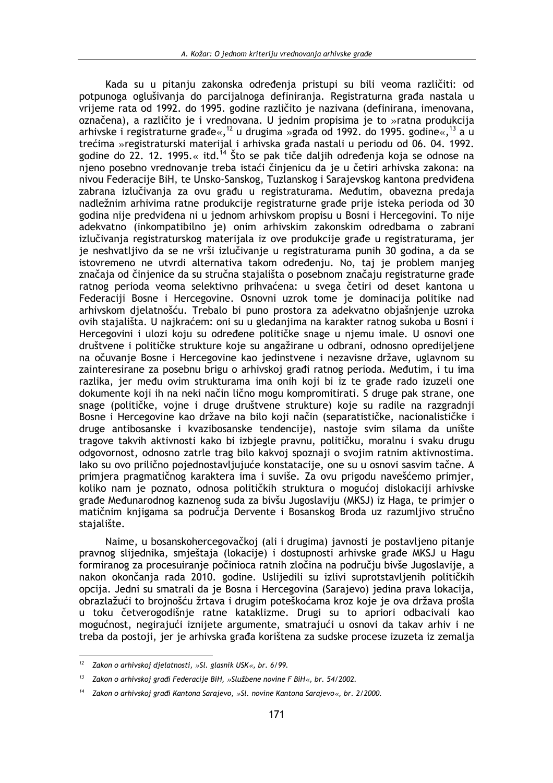Kada su u pitanju zakonska određenja pristupi su bili veoma različiti: od potpunoga oglušivanja do parcijalnoga definiranja. Registraturna građa nastala u vrijeme rata od 1992. do 1995. godine različito je nazivana (definirana, imenovana, označena), a različito je i vrednovana. U jednim propisima je to »ratna produkcija arhivske i registraturne građe«,  $12$  u drugima »građa od 1992. do 1995. godine«,  $13$  a u trećima »registraturski materijal i arhivska građa nastali u periodu od 06. 04. 1992. godine do 22. 12. 1995.« itd.<sup>14</sup> Što se pak tiče daljih određenja koja se odnose na njeno posebno vrednovanje treba istaći činjenicu da je u četiri arhivska zakona: na nivou Federacije BiH, te Unsko-Sanskog, Tuzlanskog i Sarajevskog kantona predviđena zabrana izlučivanja za ovu građu u registraturama. Međutim, obavezna predaja nadležnim arhivima ratne produkcije registraturne građe prije isteka perioda od 30 godina nije predviđena ni u jednom arhivskom propisu u Bosni i Hercegovini. To nije adekvatno (inkompatibilno je) onim arhivskim zakonskim odredbama o zabrani izlučivanja registraturskog materijala iz ove produkcije građe u registraturama, jer je neshvatljivo da se ne vrši izlučivanje u registraturama punih 30 godina, a da se istovremeno ne utvrdi alternativa takom određenju. No, taj je problem manjeg značaja od činjenice da su stručna stajališta o posebnom značaju registraturne građe ratnog perioda veoma selektivno prihvaćena: u svega četiri od deset kantona u Federaciji Bosne i Hercegovine. Osnovni uzrok tome je dominacija politike nad arhivskom djelatnošću. Trebalo bi puno prostora za adekvatno objašnjenje uzroka ovih stajališta. U najkraćem: oni su u gledanjima na karakter ratnog sukoba u Bosni i Hercegovini i ulozi koju su određene političke snage u njemu imale. U osnovi one društvene i političke strukture koje su angažirane u odbrani, odnosno opredijeljene na očuvanje Bosne i Hercegovine kao jedinstvene i nezavisne države, uglavnom su zainteresirane za posebnu brigu o arhivskoj građi ratnog perioda. Međutim, i tu ima razlika, jer među ovim strukturama ima onih koji bi iz te građe rado izuzeli one dokumente koji ih na neki način lično mogu kompromitirati. S druge pak strane, one snage (političke, vojne i druge društvene strukture) koje su radile na razgradnij Bosne i Hercegovine kao države na bilo koji način (separatističke, nacionalističke i druge antibosanske i kvazibosanske tendencije), nastoje svim silama da unište tragove takvih aktivnosti kako bi izbjegle pravnu, političku, moralnu i svaku drugu odgovornost, odnosno zatrle trag bilo kakvoj spoznaji o svojim ratnim aktivnostima. lako su ovo prilično pojednostavljujuće konstatacije, one su u osnovi sasvim tačne. A primjera pragmatičnog karaktera ima i suviše. Za ovu prigodu navešćemo primjer, koliko nam je poznato, odnosa političkih struktura o mogućoj dislokaciji arhivske građe Međunarodnog kaznenog suda za bivšu Jugoslaviju (MKSJ) iz Haga, te primjer o matičnim knjigama sa područja Dervente i Bosanskog Broda uz razumljivo stručno stajalište.

Naime, u bosanskohercegovačkoj (ali i drugima) javnosti je postavljeno pitanje pravnog slijednika, smještaja (lokacije) i dostupnosti arhivske građe MKSJ u Hagu formiranog za procesuiranje počinioca ratnih zločina na području bivše Jugoslavije, a nakon okončanja rada 2010. godine. Uslijedili su izlivi suprotstavljenih političkih opcija. Jedni su smatrali da je Bosna i Hercegovina (Sarajevo) jedina prava lokacija, obrazlažući to brojnošću žrtava i drugim poteškoćama kroz koje je ova država prošla u toku četverogodišnje ratne kataklizme. Drugi su to apriori odbacivali kao mogućnost, negirajući iznijete argumente, smatrajući u osnovi da takav arhiv i ne treba da postoji, jer je arhivska građa korištena za sudske procese izuzeta iz zemalja

 $12$ Zakon o arhivskoj djelatnosti, »Sl. glasnik USK«, br. 6/99.

 $13$ Zakon o arhivskoj građi Federacije BiH, »Službene novine F BiH«, br. 54/2002.

Zakon o arhivskoj građi Kantona Sarajevo, »Sl. novine Kantona Sarajevo«, br. 2/2000.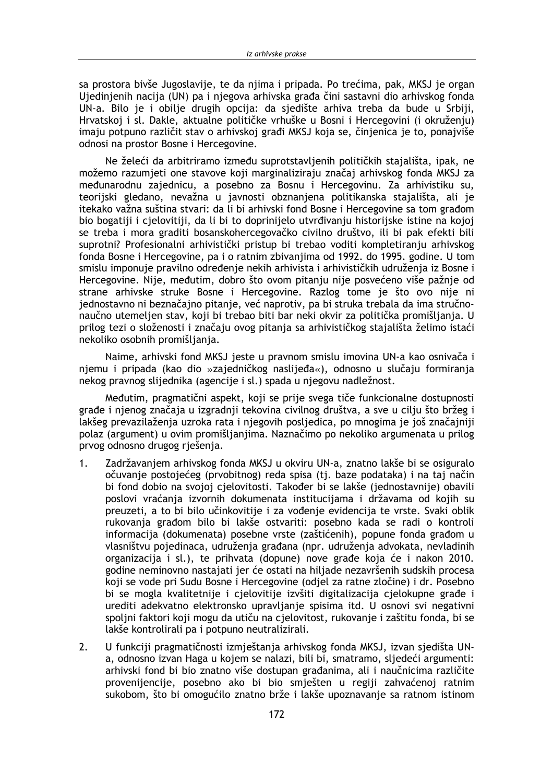sa prostora bivše Jugoslavije, te da nijma i pripada. Po trećima, pak, MKSJ je organ Ujedinjenih nacija (UN) pa i njegova arhivska građa čini sastavni dio arhivskog fonda UN-a. Bilo je i obilje drugih opcija: da sjedište arhiva treba da bude u Srbiji, Hrvatskoj i sl. Dakle, aktualne političke vrhuške u Bosni i Hercegovini (i okruženiu) imaju potpuno različit stav o arhivskoj građi MKSJ koja se, činjenica je to, ponajviše odnosi na prostor Bosne i Hercegovine.

Ne želeći da arbitriramo između suprotstavljenih političkih stajališta, ipak, ne možemo razumjeti one stavove koji marginaliziraju značaj arhivskog fonda MKSJ za međunarodnu zajednicu, a posebno za Bosnu i Hercegovinu. Za arhivistiku su, teorijski gledano, nevažna u javnosti obznanjena politikanska stajališta, ali je itekako važna suština stvari: da li bi arhivski fond Bosne i Hercegovine sa tom građom bio bogatiji i cjelovitiji, da li bi to doprinijelo utvrđivanju historijske istine na kojoj se treba i mora graditi bosanskohercegovačko civilno društvo, ili bi pak efekti bili suprotni? Profesionalni arhivistički pristup bi trebao voditi kompletiranju arhivskog fonda Bosne i Hercegovine, pa i o ratnim zbivanjima od 1992. do 1995. godine. U tom smislu imponuje pravilno određenje nekih arhivista i arhivističkih udruženja iz Bosne i Hercegovine. Nije, međutim, dobro što ovom pitanju nije posvećeno više pažnje od strane arhivske struke Bosne i Hercegovine. Razlog tome je što ovo nije ni jednostavno ni beznačajno pitanje, već naprotiv, pa bi struka trebala da ima stručnonaučno utemeljen stav, koji bi trebao biti bar neki okvir za politička promišljanja. U prilog tezi o složenosti i značaju ovog pitanja sa arhivističkog stajališta želimo istaći nekoliko osobnih promišljanja.

Naime, arhivski fond MKSJ jeste u pravnom smislu imovina UN-a kao osnivača i njemu i pripada (kao dio »zajedničkog naslijeđa«), odnosno u slučaju formiranja nekog pravnog slijednika (agencije i sl.) spada u njegovu nadležnost.

Međutim, pragmatični aspekt, koji se prije svega tiče funkcionalne dostupnosti građe i njenog značaja u izgradnji tekovina civilnog društva, a sve u cilju što bržeg i lakšeg prevazilaženja uzroka rata i njegovih posljedica, po mnogima je još značajniji polaz (argument) u ovim promišlianjima. Naznačimo po nekoliko argumenata u prilog prvog odnosno drugog rješenja.

- $1<sup>1</sup>$ Zadržavanjem arhivskog fonda MKSJ u okviru UN-a, znatno lakše bi se osiguralo očuvanie postojećeg (prvobitnog) reda spisa (tj. baze podataka) i na taj način bi fond dobio na svojoj cjelovitosti. Također bi se lakše (jednostavnije) obavili poslovi vraćanja izvornih dokumenata institucijama i državama od kojih su preuzeti, a to bi bilo učinkovitije i za vođenje evidencija te vrste. Svaki oblik rukovanja građom bilo bi lakše ostvariti: posebno kada se radi o kontroli informacija (dokumenata) posebne vrste (zaštićenih), popune fonda građom u vlasništvu pojedinaca, udruženja građana (npr. udruženja advokata, nevladinih organizacija i sl.), te prihvata (dopune) nove građe koja će i nakon 2010. godine neminovno nastajati jer će ostati na hiljade nezavršenih sudskih procesa koji se vode pri Sudu Bosne i Hercegovine (odjel za ratne zločine) i dr. Posebno bi se mogla kvalitetnije i cjelovitije izvšiti digitalizacija cjelokupne građe i urediti adekvatno elektronsko upravljanje spisima itd. U osnovi svi negativni spoljni faktori koji mogu da utiču na cjelovitost, rukovanje i zaštitu fonda, bi se lakše kontrolirali pa i potpuno neutralizirali.
- $2.$ U funkciji pragmatičnosti izmještanja arhivskog fonda MKSJ, izvan sjedišta UNa, odnosno izvan Haga u kojem se nalazi, bili bi, smatramo, sljedeći argumenti: arhivski fond bi bio znatno više dostupan građanima, ali i naučnicima različite provenijencije, posebno ako bi bio smješten u regiji zahvaćenoj ratnim sukobom, što bi omogućilo znatno brže i lakše upoznavanje sa ratnom istinom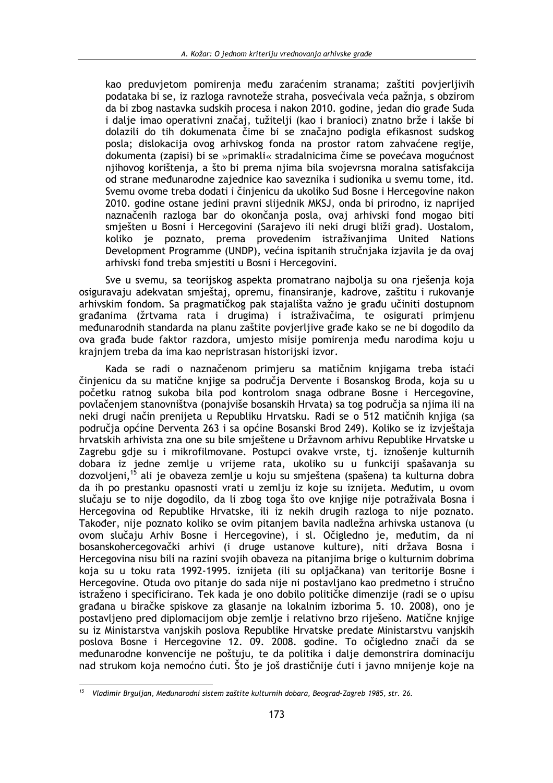kao preduvietom pomirenia među zaraćenim stranama; zaštiti povierlijvih podataka bi se, iz razloga ravnoteže straha, posvećivala veća pažnja, s obzirom da bi zbog nastavka sudskih procesa i nakon 2010. godine, jedan dio građe Suda i dalje imao operativni značaj, tužitelji (kao i branioci) znatno brže i lakše bi dolazili do tih dokumenata čime bi se značajno podigla efikasnost sudskog posla; dislokacija ovog arhivskog fonda na prostor ratom zahvaćene regije, dokumenta (zapisi) bi se »primakli« stradalnicima čime se povećava mogućnost njihovog korištenja, a što bi prema njima bila svojevrsna moralna satisfakcija od strane međunarodne zajednice kao saveznika i sudionika u svemu tome, itd. Svemu ovome treba dodati i činjenicu da ukoliko Sud Bosne i Hercegovine nakon 2010. godine ostane jedini pravni slijednik MKSJ, onda bi prirodno, iz naprijed naznačenih razloga bar do okončanja posla, ovaj arhivski fond mogao biti smješten u Bosni i Hercegovini (Sarajevo ili neki drugi bliži grad). Uostalom, koliko je poznato, prema provedenim istraživanjima United Nations Development Programme (UNDP), većina ispitanih stručnjaka izjavila je da ovaj arhivski fond treba smjestiti u Bosni i Hercegovini.

Sve u svemu, sa teorijskog aspekta promatrano najbolja su ona rješenja koja osiguravaju adekvatan smještaj, opremu, finansiranje, kadrove, zaštitu i rukovanje arhivskim fondom. Sa pragmatičkog pak stajališta važno je građu učiniti dostupnom građanima (žrtvama rata i drugima) i istraživačima, te osigurati primjenu međunarodnih standarda na planu zaštite povjerljive građe kako se ne bi dogodilo da ova građa bude faktor razdora, umjesto misije pomirenja među narodima koju u krajnjem treba da ima kao nepristrasan historijski izvor.

Kada se radi o naznačenom primjeru sa matičnim knjigama treba istaći činjenicu da su matične knjige sa područja Dervente i Bosanskog Broda, koja su u početku ratnog sukoba bila pod kontrolom snaga odbrane Bosne i Hercegovine. povlačeniem stanovništva (ponajviše bosanskih Hrvata) sa tog područja sa njima ili na neki drugi način prenijeta u Republiku Hrvatsku. Radi se o 512 matičnih knjiga (sa područja općine Derventa 263 i sa općine Bosanski Brod 249). Koliko se iz izvještaja hrvatskih arhivista zna one su bile smještene u Državnom arhivu Republike Hrvatske u Zagrebu gdje su i mikrofilmovane. Postupci ovakve vrste, tj. iznošenje kulturnih dobara iz iedne zemlie u vrijeme rata, ukoliko su u funkciji spašavanja su dozvoljeni,<sup>15</sup> ali je obaveza zemlje u koju su smještena (spašena) ta kulturna dobra da ih po prestanku opasnosti vrati u zemlju iz koje su iznijeta. Međutim, u ovom slučaju se to nije dogodilo, da li zbog toga što ove knjige nije potraživala Bosna i Hercegovina od Republike Hrvatske, ili iz nekih drugih razloga to nije poznato. Također, nije poznato koliko se ovim pitanjem bavila nadležna arhivska ustanova (u ovom slučaju Arhiv Bosne i Hercegovine), i sl. Očigledno je, međutim, da ni bosanskohercegovački arhivi (i druge ustanove kulture), niti država Bosna i Hercegovina nisu bili na razini svojih obaveza na pitanjima brige o kulturnim dobrima koja su u toku rata 1992-1995. iznijeta (ili su opljačkana) van teritorije Bosne i Hercegovine. Otuda ovo pitanje do sada nije ni postavljano kao predmetno i stručno istraženo i specificirano. Tek kada je ono dobilo političke dimenzije (radi se o upisu građana u biračke spiskove za glasanje na lokalnim izborima 5. 10. 2008), ono je postavljeno pred diplomacijom obje zemlje i relativno brzo riješeno. Matične knjige su iz Ministarstva vanjskih poslova Republike Hrvatske predate Ministarstvu vanjskih poslova Bosne i Hercegovine 12. 09. 2008. godine. To očigledno znači da se međunarodne konvencije ne poštuju, te da politika i dalje demonstrira dominaciju nad strukom koja nemoćno ćuti. Što je još drastičnije ćuti i javno mnijenje koje na

<sup>&</sup>lt;sup>15</sup> Vladimir Brguljan, Međunarodni sistem zaštite kulturnih dobara, Beograd-Zagreb 1985, str. 26.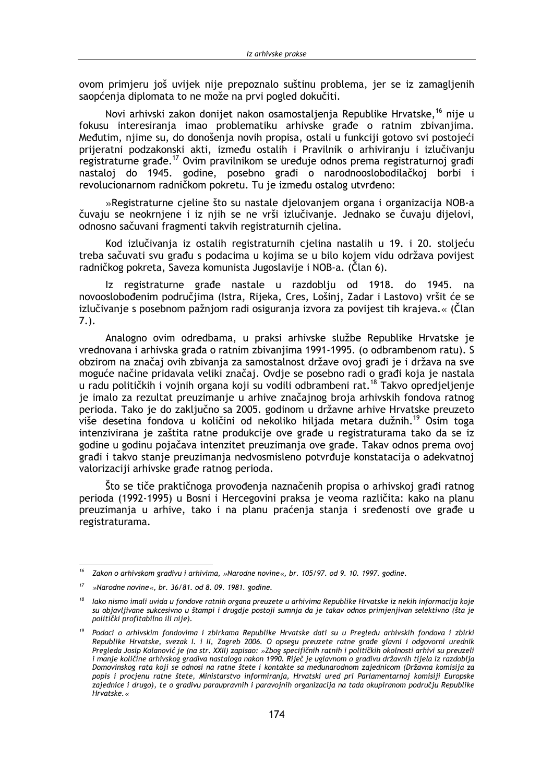ovom primjeru još uvijek nije prepoznalo suštinu problema, jer se iz zamagljenih saopćenja diplomata to ne može na prvi pogled dokučiti.

Novi arhivski zakon donijet nakon osamostaljenja Republike Hrvatske,<sup>16</sup> nije u fokusu interesiranja imao problematiku arhivske građe o ratnim zbivanjima. Međutim, njime su, do donošenja novih propisa, ostali u funkciji gotovo svi postojeći prijeratni podzakonski akti, između ostalih i Pravilnik o arhiviranju i izlučivanju registraturne građe.<sup>17</sup> Ovim pravilnikom se uređuje odnos prema registraturnoj građi nastaloj do 1945. godine, posebno građi o narodnooslobodilačkoj borbi i revolucionarnom radničkom pokretu. Tu je između ostalog utvrđeno:

»Registraturne cieline što su nastale dielovaniem organa i organizacija NOB-a čuvaju se neokrnjene i iz njih se ne vrši izlučivanje. Jednako se čuvaju dijelovi, odnosno sačuvani fragmenti takvih registraturnih cjelina.

Kod izlučivanja iz ostalih registraturnih cjelina nastalih u 19. i 20. stoljeću treba sačuvati svu građu s podacima u kojima se u bilo kojem vidu održava povijest radničkog pokreta, Saveza komunista Jugoslavije i NOB-a. (Član 6).

Iz registraturne građe nastale u razdoblju od 1918. do 1945. na novooslobođenim područjima (Istra, Rijeka, Cres, Lošinj, Zadar i Lastovo) vršit će se izlučivanje s posebnom pažnjom radi osiguranja izvora za povijest tih krajeva.« (Član  $7.$ ).

Analogno ovim odredbama, u praksi arhivske službe Republike Hrvatske je vrednovana i arhivska građa o ratnim zbivanjima 1991-1995. (o odbrambenom ratu). S obzirom na značaj ovih zbivanja za samostalnost države ovoj građi je i država na sve moguće načine pridavala veliki značaj. Ovdje se posebno radi o građi koja je nastala u radu političkih i vojnih organa koji su vodili odbrambeni rat.<sup>18</sup> Takvo opredjeljenje je imalo za rezultat preuzimanje u arhive značajnog broja arhivskih fondova ratnog perioda. Tako je do zaključno sa 2005. godinom u državne arhive Hrvatske preuzeto više desetina fondova u količini od nekoliko hiljada metara dužnih.<sup>19</sup> Osim toga intenzivirana je zaštita ratne produkcije ove građe u registraturama tako da se iz godine u godinu pojačava intenzitet preuzimanja ove građe. Takav odnos prema ovoj građi i takvo stanie preuzimania nedvosmisleno potvrđuje konstatacija o adekvatnoj valorizaciji arhivske građe ratnog perioda.

Što se tiče praktičnoga provođenja naznačenih propisa o arhivskoj građi ratnog perioda (1992-1995) u Bosni i Hercegovini praksa je veoma različita: kako na planu preuzimanja u arhive, tako i na planu praćenja stanja i sređenosti ove građe u registraturama.

<sup>16</sup> Zakon o arhivskom gradivu i arhivima, »Narodne novine«, br. 105/97. od 9. 10. 1997. godine.

 $17\,$ »Narodne novine«, br. 36/81. od 8. 09. 1981. godine.

lako nismo imali uvida u fondove ratnih organa preuzete u arhivima Republike Hrvatske iz nekih informacija koje su objavljivane sukcesivno u štampi i drugdje postoji sumnja da je takav odnos primjenjivan selektivno (šta je politički profitabilno ili nije).

<sup>&</sup>lt;sup>19</sup> Podaci o arhivskim fondovima i zbirkama Republike Hrvatske dati su u Pregledu arhivskih fondova i zbirki Republike Hrvatske, svezak I. i II, Zagreb 2006. O opsegu preuzete ratne građe glavni i odgovorni urednik Pregleda Josip Kolanović je (na str. XXII) zapisao: »Zbog specifičnih ratnih i političkih okolnosti arhivi su preuzeli i manje količine arhivskog gradiva nastaloga nakon 1990. Riječ je uglavnom o gradivu državnih tijela iz razdoblja Domovinskog rata koji se odnosi na ratne štete i kontakte sa međunarodnom zajednicom (Državna komisija za popis i procjenu ratne štete, Ministarstvo informiranja, Hrvatski ured pri Parlamentarnoj komisiji Europske zajednice i drugo), te o gradivu paraupravnih i paravojnih organizacija na tada okupiranom području Republike Hrvatske.«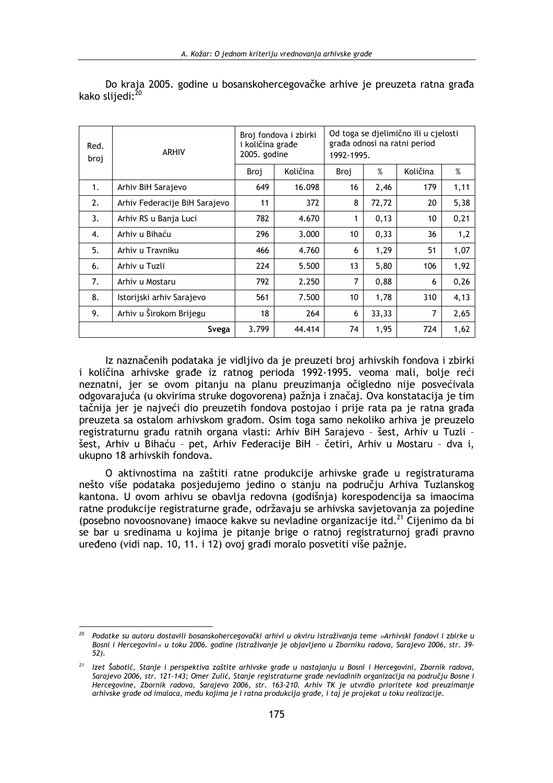| Red.<br>broj | <b>ARHIV</b>                  | Broj fondova i zbirki<br>i količina građe<br>2005. godine |          | Od toga se djelimično ili u cjelosti<br>građa odnosi na ratni period<br>1992-1995. |       |          |      |
|--------------|-------------------------------|-----------------------------------------------------------|----------|------------------------------------------------------------------------------------|-------|----------|------|
|              |                               | Broj                                                      | Količina | Broj                                                                               | %     | Količina | %    |
| 1.           | Arhiv BiH Sarajevo            | 649                                                       | 16.098   | 16                                                                                 | 2,46  | 179      | 1,11 |
| 2.           | Arhiv Federacije BiH Sarajevo | 11                                                        | 372      | 8                                                                                  | 72,72 | 20       | 5,38 |
| 3.           | Arhiv RS u Banja Luci         | 782                                                       | 4.670    | 1                                                                                  | 0,13  | 10       | 0,21 |
| 4.           | Arhiv u Bihaću                | 296                                                       | 3.000    | 10                                                                                 | 0,33  | 36       | 1,2  |
| 5.           | Arhiv u Travniku              | 466                                                       | 4.760    | 6                                                                                  | 1,29  | 51       | 1,07 |
| 6.           | Arhiv u Tuzli                 | 224                                                       | 5.500    | 13                                                                                 | 5,80  | 106      | 1,92 |
| 7.           | Arhiv u Mostaru               | 792                                                       | 2.250    | 7                                                                                  | 0,88  | 6        | 0,26 |
| 8.           | Istorijski arhiv Sarajevo     | 561                                                       | 7.500    | 10                                                                                 | 1,78  | 310      | 4,13 |
| 9.           | Arhiv u Širokom Brijegu       | 18                                                        | 264      | 6                                                                                  | 33,33 | 7        | 2,65 |
|              | Svega                         | 3.799                                                     | 44.414   | 74                                                                                 | 1,95  | 724      | 1,62 |

Do kraja 2005. godine u bosanskohercegovačke arhive je preuzeta ratna građa kako slijedi:<sup>20</sup>

Iz naznačenih podataka je vidljivo da je preuzeti broj arhivskih fondova i zbirki i količina arhivske građe iz ratnog perioda 1992-1995. veoma mali, bolje reći neznatni, jer se ovom pitanju na planu preuzimanja očigledno nije posvećivala odgovarajuća (u okvirima struke dogovorena) pažnja i značaj. Ova konstatacija je tim tačnija jer je najveći dio preuzetih fondova postojao i prije rata pa je ratna građa preuzeta sa ostalom arhivskom građom. Osim toga samo nekoliko arhiva je preuzelo registraturnu građu ratnih organa vlasti: Arhiv BiH Sarajevo - šest, Arhiv u Tuzli šest, Arhiv u Bihaću - pet, Arhiv Federacije BiH - četiri, Arhiv u Mostaru - dva i, ukupno 18 arhivskih fondova.

O aktivnostima na zaštiti ratne produkcije arhivske građe u registraturama nešto više podataka posjedujemo jedino o stanju na području Arhiva Tuzlanskog kantona. U ovom arhivu se obavlja redovna (godišnja) korespodencija sa imaocima ratne produkcije registraturne građe, održavaju se arhivska savjetovanja za pojedine (posebno novoosnovane) imaoce kakve su nevladine organizacije itd.<sup>21</sup> Cijenimo da bi se bar u sredinama u kojima je pitanje brige o ratnoj registraturnoj građi pravno uređeno (vidi nap. 10, 11, i 12) ovoj građi moralo posvetiti više pažnje.

 $20$ Podatke su autoru dostavili bosanskohercegovački arhivi u okviru istraživanja teme »Arhivski fondovi i zbirke u Bosni i Hercegovini« u toku 2006. godine (Istraživanje je objavljeno u Zborniku radova, Sarajevo 2006, str. 39- $52.$ 

<sup>&</sup>lt;sup>21</sup> lzet Šabotić, Stanje i perspektiva zaštite arhivske građe u nastajanju u Bosni i Hercegovini, Zbornik radova, Sarajevo 2006, str. 121-143; Omer Zulić, Stanje registraturne građe nevladinih organizacija na području Bosne i Hercegovine, Zbornik radova, Sarajevo 2006, str. 163-210. Arhiv TK je utvrdio prioritete kod preuzimanje arhivske građe od imalaca, među kojima je i ratna produkcija građe, i taj je projekat u toku realizacije.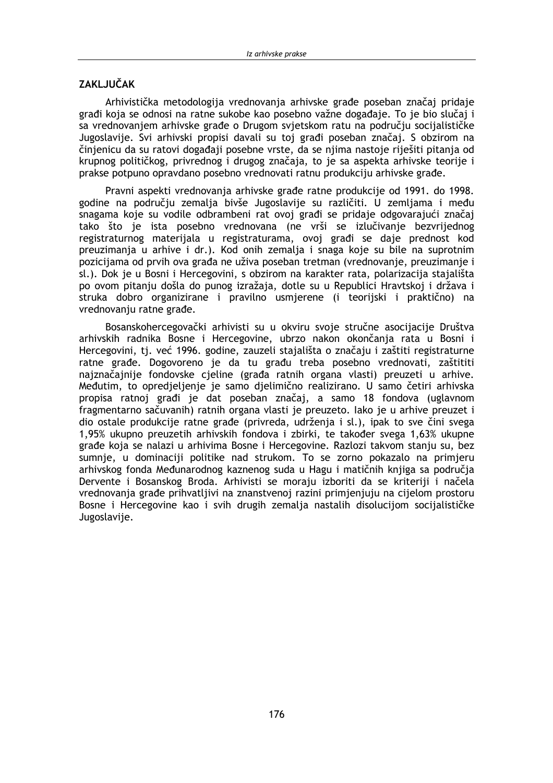### **ZAKLJUČAK**

Arhivistička metodologija vrednovanja arhivske građe poseban značaj pridaje građi koja se odnosi na ratne sukobe kao posebno važne događaje. To je bio slučaj i sa vrednovanjem arhivske građe o Drugom svjetskom ratu na području socijalističke Jugoslavije. Svi arhivski propisi davali su toj građi poseban značaj. S obzirom na činjenicu da su ratovi događaji posebne vrste, da se njima nastoje riješiti pitanja od krupnog političkog, privrednog i drugog značaja, to je sa aspekta arhivske teorije i prakse potpuno opravdano posebno vrednovati ratnu produkciju arhivske građe.

Pravni aspekti vrednovanja arhivske građe ratne produkcije od 1991. do 1998. godine na području zemalja bivše Jugoslavije su različiti. U zemljama i među snagama koje su vodile odbrambeni rat ovoj građi se pridaje odgovarajući značaj tako što je ista posebno vrednovana (ne vrši se izlučivanje bezvrijednog registraturnog materijala u registraturama, ovoj građi se daje prednost kod preuzimanja u arhive i dr.). Kod onih zemalja i snaga koje su bile na suprotnim pozicijama od prvih ova građa ne uživa poseban tretman (vrednovanje, preuzimanje i sl.). Dok je u Bosni i Hercegovini, s obzirom na karakter rata, polarizacija stajališta po ovom pitanju došla do punog izražaja, dotle su u Republici Hravtskoj i država i struka dobro organizirane i pravilno usmjerene (i teorijski i praktično) na vrednovanju ratne građe.

Bosanskohercegovački arhivisti su u okviru svoje stručne asocijacije Društva arhivskih radnika Bosne i Hercegovine, ubrzo nakon okončanja rata u Bosni i Hercegovini, tj. već 1996. godine, zauzeli stajališta o značaju i zaštiti registraturne ratne građe. Dogovoreno je da tu građu treba posebno vrednovati, zaštititi najznačajnije fondovske cjeline (građa ratnih organa vlasti) preuzeti u arhive. Međutim, to opredjeljenje je samo djelimično realizirano. U samo četiri arhivska propisa ratnoj građi je dat poseban značaj, a samo 18 fondova (uglavnom fragmentarno sačuvanih) ratnih organa vlasti je preuzeto. Iako je u arhive preuzet j dio ostale produkcije ratne građe (privreda, udrženja i sl.), ipak to sve čini svega 1,95% ukupno preuzetih arhivskih fondova i zbirki, te također svega 1,63% ukupne građe koja se nalazi u arhivima Bosne i Hercegovine. Razlozi takvom stanju su, bez sumnje, u dominaciji politike nad strukom. To se zorno pokazalo na primjeru arhivskog fonda Međunarodnog kaznenog suda u Hagu i matičnih knijga sa područia Dervente i Bosanskog Broda. Arhivisti se moraju izboriti da se kriteriji i načela vrednovanja građe prihvatljivi na znanstvenoj razini primjenjuju na cijelom prostoru Bosne i Hercegovine kao i svih drugih zemalja nastalih disolucijom socijalističke Jugoslavije.